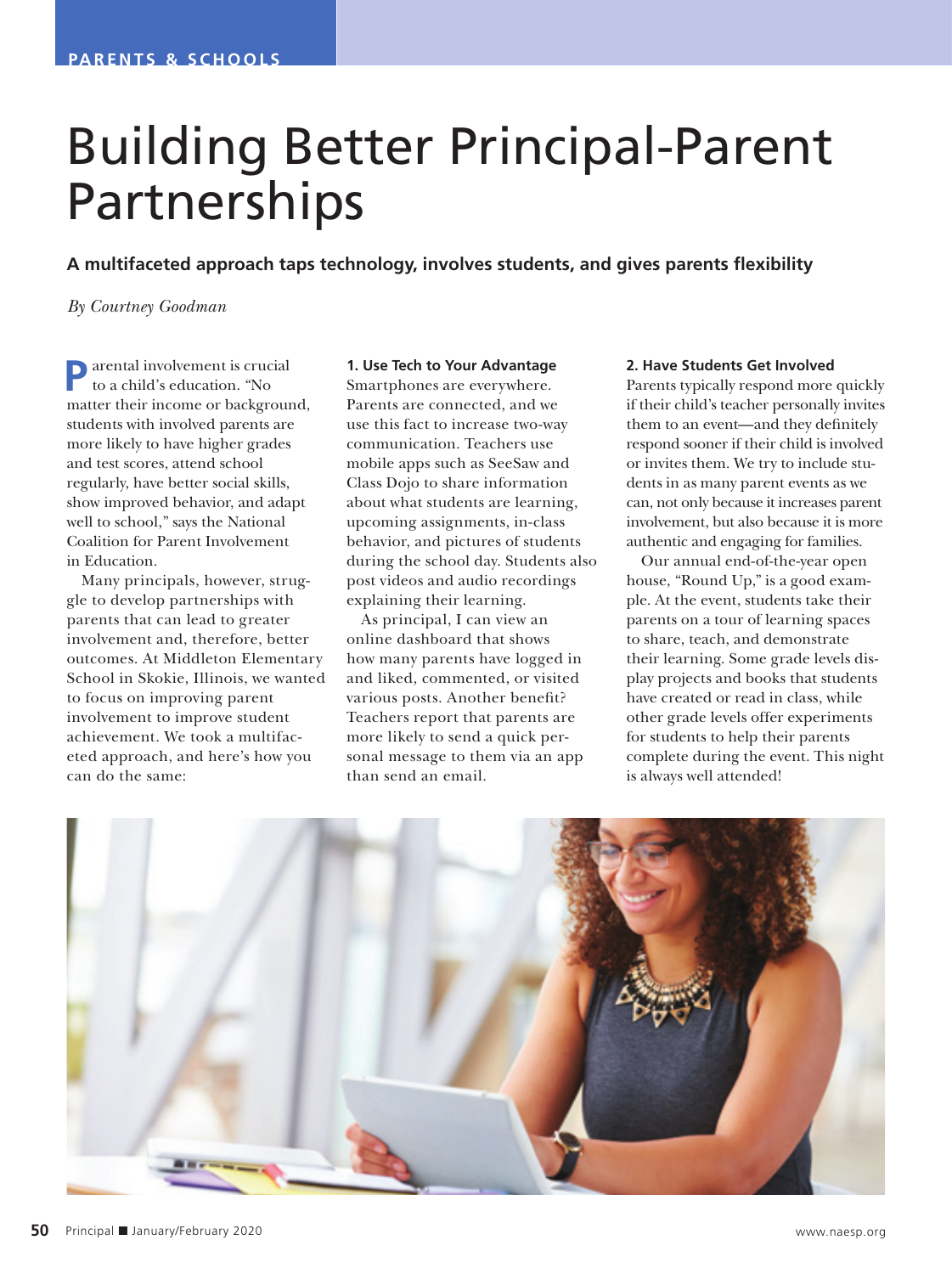# Building Better Principal-Parent **Partnerships**

**A multifaceted approach taps technology, involves students, and gives parents flexibility** 

*By Courtney Goodman*

**P**arental involvement is crucial to a child's education. "No matter their income or background, students with involved parents are more likely to have higher grades and test scores, attend school regularly, have better social skills, show improved behavior, and adapt well to school," says the National Coalition for Parent Involvement in Education.

Many principals, however, struggle to develop partnerships with parents that can lead to greater involvement and, therefore, better outcomes. At Middleton Elementary School in Skokie, Illinois, we wanted to focus on improving parent involvement to improve student achievement. We took a multifaceted approach, and here's how you can do the same:

## **1. Use Tech to Your Advantage**

Smartphones are everywhere. Parents are connected, and we use this fact to increase two-way communication. Teachers use mobile apps such as SeeSaw and Class Dojo to share information about what students are learning, upcoming assignments, in-class behavior, and pictures of students during the school day. Students also post videos and audio recordings explaining their learning.

As principal, I can view an online dashboard that shows how many parents have logged in and liked, commented, or visited various posts. Another benefit? Teachers report that parents are more likely to send a quick personal message to them via an app than send an email.

## **2. Have Students Get Involved**

Parents typically respond more quickly if their child's teacher personally invites them to an event—and they definitely respond sooner if their child is involved or invites them. We try to include students in as many parent events as we can, not only because it increases parent involvement, but also because it is more authentic and engaging for families.

Our annual end-of-the-year open house, "Round Up," is a good example. At the event, students take their parents on a tour of learning spaces to share, teach, and demonstrate their learning. Some grade levels display projects and books that students have created or read in class, while other grade levels offer experiments for students to help their parents complete during the event. This night is always well attended!